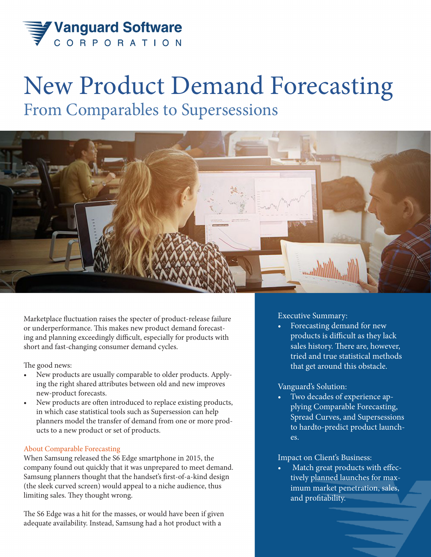

# New Product Demand Forecasting From Comparables to Supersessions



Marketplace fluctuation raises the specter of product-release failure or underperformance. This makes new product demand forecasting and planning exceedingly difficult, especially for products with short and fast-changing consumer demand cycles.

The good news:

- New products are usually comparable to older products. Applying the right shared attributes between old and new improves new-product forecasts.
- New products are often introduced to replace existing products, in which case statistical tools such as Supersession can help planners model the transfer of demand from one or more products to a new product or set of products.

#### About Comparable Forecasting

When Samsung released the S6 Edge smartphone in 2015, the company found out quickly that it was unprepared to meet demand. Samsung planners thought that the handset's first-of-a-kind design (the sleek curved screen) would appeal to a niche audience, thus limiting sales. They thought wrong.

The S6 Edge was a hit for the masses, or would have been if given adequate availability. Instead, Samsung had a hot product with a

Executive Summary:

• Forecasting demand for new products is difficult as they lack sales history. There are, however, tried and true statistical methods that get around this obstacle.

Vanguard's Solution:

Two decades of experience applying Comparable Forecasting, Spread Curves, and Supersessions to hardto-predict product launches.

Impact on Client's Business:

• Match great products with effectively planned launches for maximum market penetration, sales, and profitability.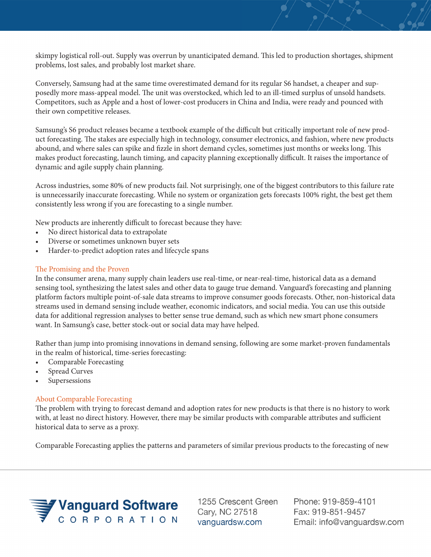skimpy logistical roll-out. Supply was overrun by unanticipated demand. This led to production shortages, shipment problems, lost sales, and probably lost market share.

Conversely, Samsung had at the same time overestimated demand for its regular S6 handset, a cheaper and supposedly more mass-appeal model. The unit was overstocked, which led to an ill-timed surplus of unsold handsets. Competitors, such as Apple and a host of lower-cost producers in China and India, were ready and pounced with their own competitive releases.

Samsung's S6 product releases became a textbook example of the difficult but critically important role of new product forecasting. The stakes are especially high in technology, consumer electronics, and fashion, where new products abound, and where sales can spike and fizzle in short demand cycles, sometimes just months or weeks long. This makes product forecasting, launch timing, and capacity planning exceptionally difficult. It raises the importance of dynamic and agile supply chain planning.

Across industries, some 80% of new products fail. Not surprisingly, one of the biggest contributors to this failure rate is unnecessarily inaccurate forecasting. While no system or organization gets forecasts 100% right, the best get them consistently less wrong if you are forecasting to a single number.

New products are inherently difficult to forecast because they have:

- No direct historical data to extrapolate
- Diverse or sometimes unknown buyer sets
- Harder-to-predict adoption rates and lifecycle spans

### The Promising and the Proven

In the consumer arena, many supply chain leaders use real-time, or near-real-time, historical data as a demand sensing tool, synthesizing the latest sales and other data to gauge true demand. Vanguard's forecasting and planning platform factors multiple point-of-sale data streams to improve consumer goods forecasts. Other, non-historical data streams used in demand sensing include weather, economic indicators, and social media. You can use this outside data for additional regression analyses to better sense true demand, such as which new smart phone consumers want. In Samsung's case, better stock-out or social data may have helped.

Rather than jump into promising innovations in demand sensing, following are some market-proven fundamentals in the realm of historical, time-series forecasting:

- Comparable Forecasting
- Spread Curves
- **Supersessions**

## About Comparable Forecasting

The problem with trying to forecast demand and adoption rates for new products is that there is no history to work with, at least no direct history. However, there may be similar products with comparable attributes and sufficient historical data to serve as a proxy.

Comparable Forecasting applies the patterns and parameters of similar previous products to the forecasting of new



1255 Crescent Green Cary, NC 27518 vanguardsw.com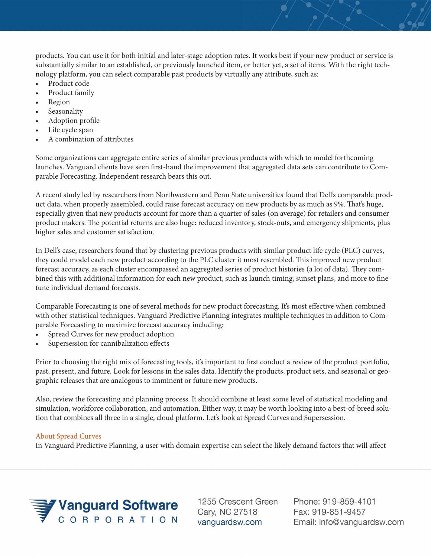products. You can use it for both initial and later-stage adoption rates. It works best if your new product or service is substantially similar to an established, or previously launched item, or better yet, a set of items. With the right technology platform, you can select comparable past products by virtually any attribute, such as:

- Product code
- Product family
- Region
- **Seasonality**
- Adoption profile
- Life cycle span
- A combination of attributes

Some organizations can aggregate entire series of similar previous products with which to model forthcoming launches. Vanguard clients have seen first-hand the improvement that aggregated data sets can contribute to Comparable Forecasting. Independent research bears this out.

A recent study led by researchers from Northwestern and Penn State universities found that Dell's comparable product data, when properly assembled, could raise forecast accuracy on new products by as much as 9%. That's huge, especially given that new products account for more than a quarter of sales (on average) for retailers and consumer product makers. The potential returns are also huge: reduced inventory, stock-outs, and emergency shipments, plus higher sales and customer satisfaction.

In Dell's case, researchers found that by clustering previous products with similar product life cycle (PLC) curves, they could model each new product according to the PLC cluster it most resembled. This improved new product forecast accuracy, as each cluster encompassed an aggregated series of product histories (a lot of data). They combined this with additional information for each new product, such as launch timing, sunset plans, and more to finetune individual demand forecasts.

Comparable Forecasting is one of several methods for new product forecasting. It's most effective when combined with other statistical techniques. Vanguard Predictive Planning integrates multiple techniques in addition to Comparable Forecasting to maximize forecast accuracy including:

- Spread Curves for new product adoption
- Supersession for cannibalization effects

Prior to choosing the right mix of forecasting tools, it's important to first conduct a review of the product portfolio, past, present, and future. Look for lessons in the sales data. Identify the products, product sets, and seasonal or geographic releases that are analogous to imminent or future new products.

Also, review the forecasting and planning process. It should combine at least some level of statistical modeling and simulation, workforce collaboration, and automation. Either way, it may be worth looking into a best-of-breed solution that combines all three in a single, cloud platform. Let's look at Spread Curves and Supersession.

## About Spread Curves

In Vanguard Predictive Planning, a user with domain expertise can select the likely demand factors that will affect



1255 Crescent Green Cary, NC 27518 vanguardsw.com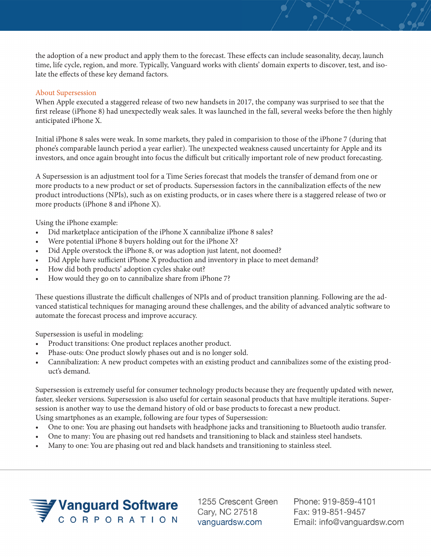the adoption of a new product and apply them to the forecast. These effects can include seasonality, decay, launch time, life cycle, region, and more. Typically, Vanguard works with clients' domain experts to discover, test, and isolate the effects of these key demand factors.

#### About Supersession

When Apple executed a staggered release of two new handsets in 2017, the company was surprised to see that the first release (iPhone 8) had unexpectedly weak sales. It was launched in the fall, several weeks before the then highly anticipated iPhone X.

Initial iPhone 8 sales were weak. In some markets, they paled in comparision to those of the iPhone 7 (during that phone's comparable launch period a year earlier). The unexpected weakness caused uncertainty for Apple and its investors, and once again brought into focus the difficult but critically important role of new product forecasting.

A Supersession is an adjustment tool for a Time Series forecast that models the transfer of demand from one or more products to a new product or set of products. Supersession factors in the cannibalization effects of the new product introductions (NPIs), such as on existing products, or in cases where there is a staggered release of two or more products (iPhone 8 and iPhone X).

Using the iPhone example:

- Did marketplace anticipation of the iPhone X cannibalize iPhone 8 sales?
- Were potential iPhone 8 buyers holding out for the iPhone X?
- Did Apple overstock the iPhone 8, or was adoption just latent, not doomed?
- Did Apple have sufficient iPhone X production and inventory in place to meet demand?
- How did both products' adoption cycles shake out?
- How would they go on to cannibalize share from iPhone 7?

These questions illustrate the difficult challenges of NPIs and of product transition planning. Following are the advanced statistical techniques for managing around these challenges, and the ability of advanced analytic software to automate the forecast process and improve accuracy.

Supersession is useful in modeling:

- Product transitions: One product replaces another product.
- Phase-outs: One product slowly phases out and is no longer sold.
- Cannibalization: A new product competes with an existing product and cannibalizes some of the existing product's demand.

Supersession is extremely useful for consumer technology products because they are frequently updated with newer, faster, sleeker versions. Supersession is also useful for certain seasonal products that have multiple iterations. Supersession is another way to use the demand history of old or base products to forecast a new product. Using smartphones as an example, following are four types of Supersession:

- 
- One to one: You are phasing out handsets with headphone jacks and transitioning to Bluetooth audio transfer.
- One to many: You are phasing out red handsets and transitioning to black and stainless steel handsets.
- Many to one: You are phasing out red and black handsets and transitioning to stainless steel.



1255 Crescent Green Cary, NC 27518 vanguardsw.com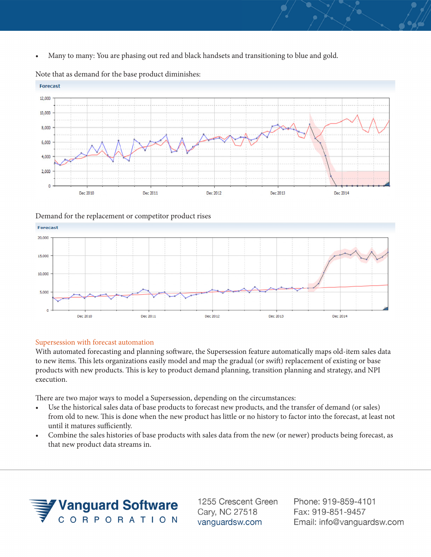• Many to many: You are phasing out red and black handsets and transitioning to blue and gold.



#### Note that as demand for the base product diminishes:

Demand for the replacement or competitor product rises



## Supersession with forecast automation

With automated forecasting and planning software, the Supersession feature automatically maps old-item sales data to new items. This lets organizations easily model and map the gradual (or swift) replacement of existing or base products with new products. This is key to product demand planning, transition planning and strategy, and NPI execution.

There are two major ways to model a Supersession, depending on the circumstances:

- Use the historical sales data of base products to forecast new products, and the transfer of demand (or sales) from old to new. This is done when the new product has little or no history to factor into the forecast, at least not until it matures sufficiently.
- Combine the sales histories of base products with sales data from the new (or newer) products being forecast, as that new product data streams in.



1255 Crescent Green Cary, NC 27518 vanguardsw.com